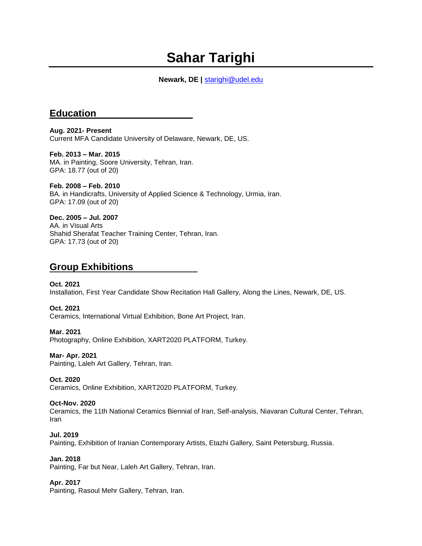# **Sahar Tarighi**

### **Newark, DE |** [starighi@udel.edu](mailto:starighi@udel.edu)

# **Education**

**Aug. 2021- Present** Current MFA Candidate University of Delaware, Newark, DE, US.

**Feb. 2013 – Mar. 2015** MA. in Painting, Soore University, Tehran, Iran. GPA: 18.77 (out of 20)

**Feb. 2008 – Feb. 2010** BA. in Handicrafts, University of Applied Science & Technology, Urmia, Iran. GPA: 17.09 (out of 20)

**Dec. 2005 – Jul. 2007** AA. in Visual Arts Shahid Sherafat Teacher Training Center, Tehran, Iran. GPA: 17.73 (out of 20)

# **Group Exhibitions**

**Oct. 2021**  Installation, First Year Candidate Show Recitation Hall Gallery, Along the Lines, Newark, DE, US.

**Oct. 2021**  Ceramics, International Virtual Exhibition, Bone Art Project, Iran.

**Mar. 2021** Photography, Online Exhibition, XART2020 PLATFORM, Turkey.

**Mar- Apr. 2021** Painting, Laleh Art Gallery, Tehran, Iran.

**Oct. 2020** Ceramics, Online Exhibition, XART2020 PLATFORM, Turkey.

#### **Oct-Nov. 2020**

Ceramics, the 11th National Ceramics Biennial of Iran, Self-analysis, Niavaran Cultural Center, Tehran, Iran

**Jul. 2019** Painting, Exhibition of Iranian Contemporary Artists, Etazhi Gallery, Saint Petersburg, Russia.

**Jan. 2018**

Painting, Far but Near, Laleh Art Gallery, Tehran, Iran.

#### **Apr. 2017**

Painting, Rasoul Mehr Gallery, Tehran, Iran.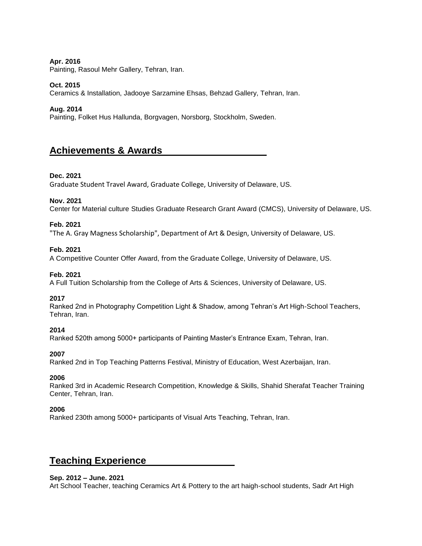#### **Apr. 2016**

Painting, Rasoul Mehr Gallery, Tehran, Iran.

#### **Oct. 2015**

Ceramics & Installation, Jadooye Sarzamine Ehsas, Behzad Gallery, Tehran, Iran.

#### **Aug. 2014**

Painting, Folket Hus Hallunda, Borgvagen, Norsborg, Stockholm, Sweden.

# **Achievements & Awards**

#### **Dec. 2021**

Graduate Student Travel Award, Graduate College, University of Delaware, US.

#### **Nov. 2021**

Center for Material culture Studies Graduate Research Grant Award (CMCS), University of Delaware, US.

#### **Feb. 2021**

"The A. Gray Magness Scholarship", Department of Art & Design, University of Delaware, US.

#### **Feb. 2021**

A Competitive Counter Offer Award, from the Graduate College, University of Delaware, US.

#### **Feb. 2021**

A Full Tuition Scholarship from the College of Arts & Sciences, University of Delaware, US.

#### **2017**

Ranked 2nd in Photography Competition Light & Shadow, among Tehran's Art High-School Teachers, Tehran, Iran.

#### **2014**

Ranked 520th among 5000+ participants of Painting Master's Entrance Exam, Tehran, Iran.

#### **2007**

Ranked 2nd in Top Teaching Patterns Festival, Ministry of Education, West Azerbaijan, Iran.

#### **2006**

Ranked 3rd in Academic Research Competition, Knowledge & Skills, Shahid Sherafat Teacher Training Center, Tehran, Iran.

#### **2006**

Ranked 230th among 5000+ participants of Visual Arts Teaching, Tehran, Iran.

# **Teaching Experience**

#### **Sep. 2012 – June. 2021**

Art School Teacher, teaching Ceramics Art & Pottery to the art haigh-school students, Sadr Art High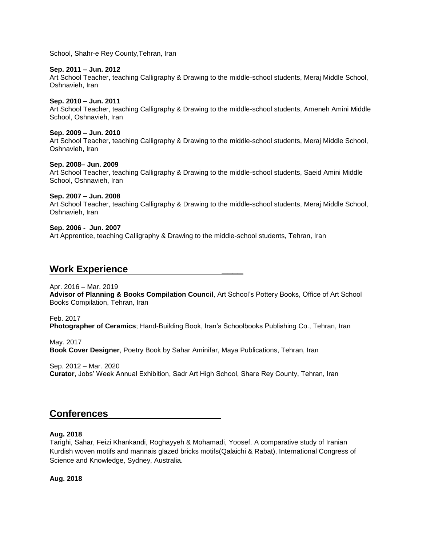School, Shahr-e Rey County,Tehran, Iran

#### **Sep. 2011 – Jun. 2012**

Art School Teacher, teaching Calligraphy & Drawing to the middle-school students, Meraj Middle School, Oshnavieh, Iran

#### **Sep. 2010 – Jun. 2011**

Art School Teacher, teaching Calligraphy & Drawing to the middle-school students, Ameneh Amini Middle School, Oshnavieh, Iran

#### **Sep. 2009 – Jun. 2010**

Art School Teacher, teaching Calligraphy & Drawing to the middle-school students, Meraj Middle School, Oshnavieh, Iran

#### **Sep. 2008– Jun. 2009**

Art School Teacher, teaching Calligraphy & Drawing to the middle-school students, Saeid Amini Middle School, Oshnavieh, Iran

#### **Sep. 2007 – Jun. 2008**

Art School Teacher, teaching Calligraphy & Drawing to the middle-school students, Meraj Middle School, Oshnavieh, Iran

#### **Sep. 2006 - Jun. 2007**

Art Apprentice, teaching Calligraphy & Drawing to the middle-school students, Tehran, Iran

# **Work Experience** \_\_\_\_

#### Apr. 2016 – Mar. 2019

**Advisor of Planning & Books Compilation Council**, Art School's Pottery Books, Office of Art School Books Compilation, Tehran, Iran

Feb. 2017 **Photographer of Ceramics**; Hand-Building Book, Iran's Schoolbooks Publishing Co., Tehran, Iran

May. 2017 **Book Cover Designer**, Poetry Book by Sahar Aminifar, Maya Publications, Tehran, Iran

Sep. 2012 – Mar. 2020 **Curator**, Jobs' Week Annual Exhibition, Sadr Art High School, Share Rey County, Tehran, Iran

# **Conferences** \_\_\_\_

#### **Aug. 2018**

Tarighi, Sahar, Feizi Khankandi, Roghayyeh & Mohamadi, Yoosef. A comparative study of Iranian Kurdish woven motifs and mannais glazed bricks motifs(Qalaichi & Rabat), International Congress of Science and Knowledge, Sydney, Australia.

**Aug. 2018**